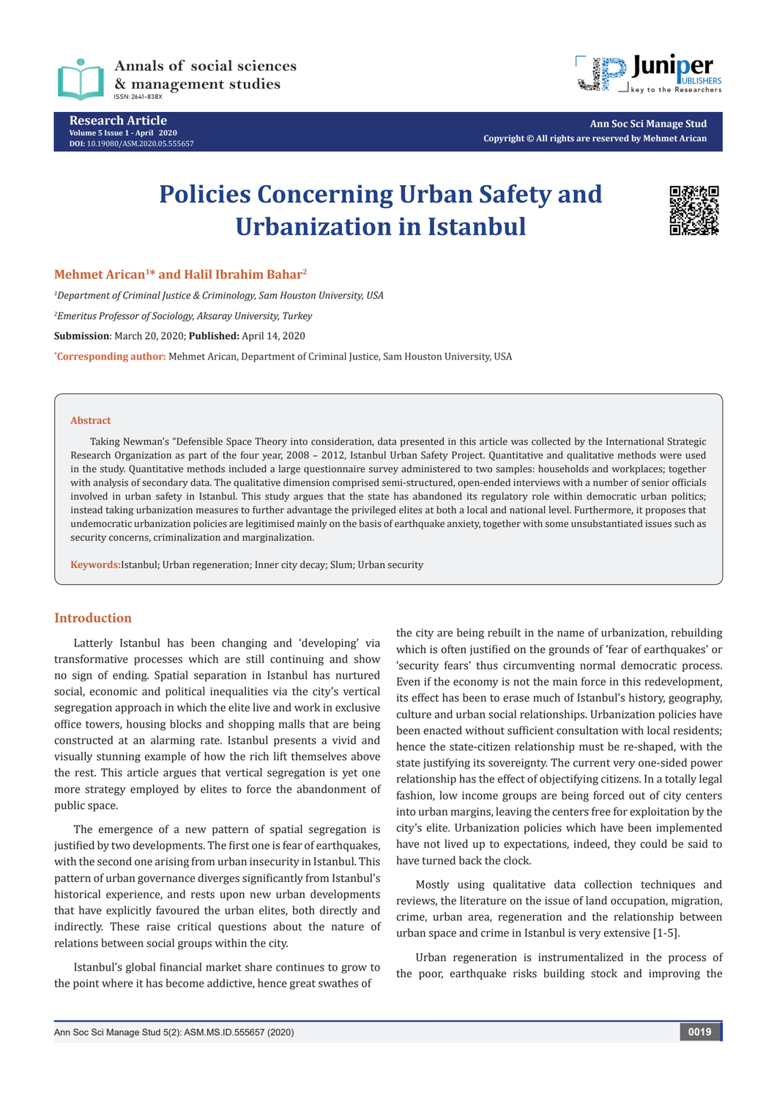

**Research Article Volume 5 Issue 1 - April 2020 DOI:** [10.19080/ASM.2020.05.55565](http://dx.doi.org/10.19080/ASM.2020.05.555657)7



**Ann Soc Sci Manage Stud Copyright © All rights are reserved by Mehmet Arican**

# **Policies Concerning Urban Safety and Urbanization in Istanbul**



**Mehmet Arican1\* and Halil Ibrahim Bahar2**

*1 Department of Criminal Justice & Criminology, Sam Houston University, USA* 

*2 Emeritus Professor of Sociology, Aksaray University, Turkey*

**Submission**: March 20, 2020; **Published:** April 14, 2020

**\* Corresponding author:** Mehmet Arican, Department of Criminal Justice, Sam Houston University, USA

#### **Abstract**

Taking Newman's "Defensible Space Theory into consideration, data presented in this article was collected by the International Strategic Research Organization as part of the four year, 2008 – 2012, Istanbul Urban Safety Project. Quantitative and qualitative methods were used in the study. Quantitative methods included a large questionnaire survey administered to two samples: households and workplaces; together with analysis of secondary data. The qualitative dimension comprised semi-structured, open-ended interviews with a number of senior officials involved in urban safety in Istanbul. This study argues that the state has abandoned its regulatory role within democratic urban politics; instead taking urbanization measures to further advantage the privileged elites at both a local and national level. Furthermore, it proposes that undemocratic urbanization policies are legitimised mainly on the basis of earthquake anxiety, together with some unsubstantiated issues such as security concerns, criminalization and marginalization.

**Keywords:**Istanbul; Urban regeneration; Inner city decay; Slum; Urban security

## **Introduction**

Latterly Istanbul has been changing and 'developing' via transformative processes which are still continuing and show no sign of ending. Spatial separation in Istanbul has nurtured social, economic and political inequalities via the city's vertical segregation approach in which the elite live and work in exclusive office towers, housing blocks and shopping malls that are being constructed at an alarming rate. Istanbul presents a vivid and visually stunning example of how the rich lift themselves above the rest. This article argues that vertical segregation is yet one more strategy employed by elites to force the abandonment of public space.

The emergence of a new pattern of spatial segregation is justified by two developments. The first one is fear of earthquakes, with the second one arising from urban insecurity in Istanbul. This pattern of urban governance diverges significantly from Istanbul's historical experience, and rests upon new urban developments that have explicitly favoured the urban elites, both directly and indirectly. These raise critical questions about the nature of relations between social groups within the city.

Istanbul's global financial market share continues to grow to the point where it has become addictive, hence great swathes of

the city are being rebuilt in the name of urbanization, rebuilding which is often justified on the grounds of 'fear of earthquakes' or 'security fears' thus circumventing normal democratic process. Even if the economy is not the main force in this redevelopment, its effect has been to erase much of Istanbul's history, geography, culture and urban social relationships. Urbanization policies have been enacted without sufficient consultation with local residents; hence the state-citizen relationship must be re-shaped, with the state justifying its sovereignty. The current very one-sided power relationship has the effect of objectifying citizens. In a totally legal fashion, low income groups are being forced out of city centers into urban margins, leaving the centers free for exploitation by the city's elite. Urbanization policies which have been implemented have not lived up to expectations, indeed, they could be said to have turned back the clock.

Mostly using qualitative data collection techniques and reviews, the literature on the issue of land occupation, migration, crime, urban area, regeneration and the relationship between urban space and crime in Istanbul is very extensive [1-5].

Urban regeneration is instrumentalized in the process of the poor, earthquake risks building stock and improving the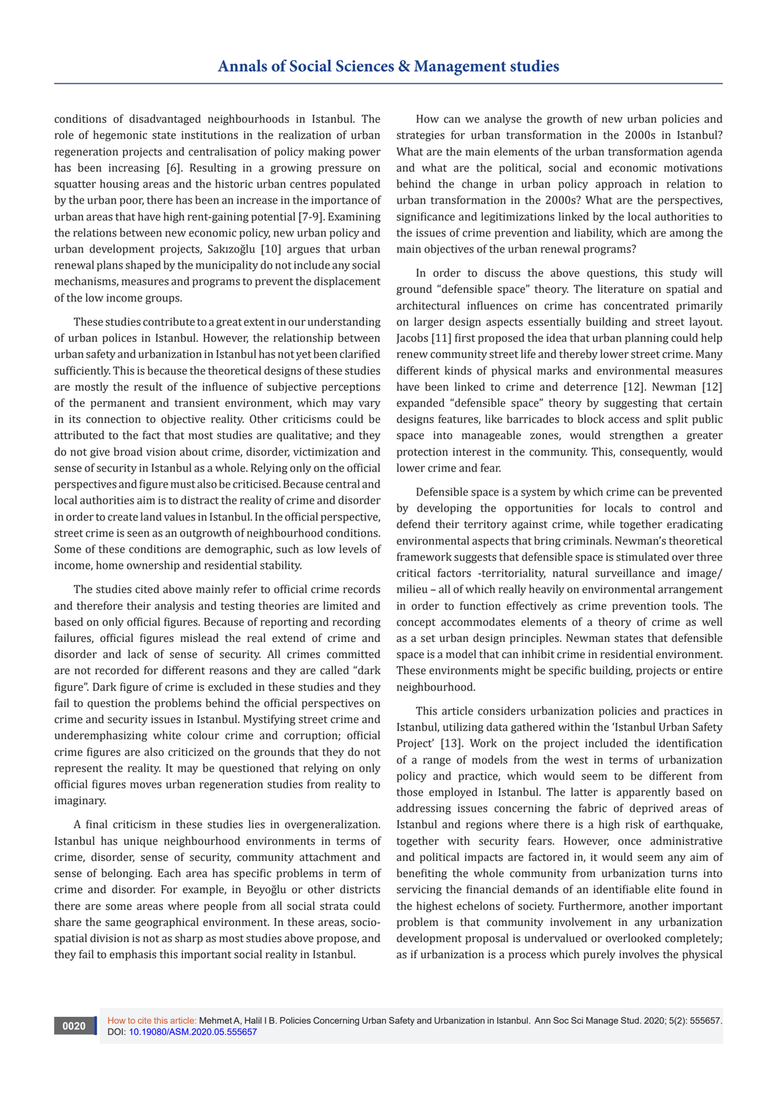conditions of disadvantaged neighbourhoods in Istanbul. The role of hegemonic state institutions in the realization of urban regeneration projects and centralisation of policy making power has been increasing [6]. Resulting in a growing pressure on squatter housing areas and the historic urban centres populated by the urban poor, there has been an increase in the importance of urban areas that have high rent-gaining potential [7-9]. Examining the relations between new economic policy, new urban policy and urban development projects, Sakızoğlu [10] argues that urban renewal plans shaped by the municipality do not include any social mechanisms, measures and programs to prevent the displacement of the low income groups.

These studies contribute to a great extent in our understanding of urban polices in Istanbul. However, the relationship between urban safety and urbanization in Istanbul has not yet been clarified sufficiently. This is because the theoretical designs of these studies are mostly the result of the influence of subjective perceptions of the permanent and transient environment, which may vary in its connection to objective reality. Other criticisms could be attributed to the fact that most studies are qualitative; and they do not give broad vision about crime, disorder, victimization and sense of security in Istanbul as a whole. Relying only on the official perspectives and figure must also be criticised. Because central and local authorities aim is to distract the reality of crime and disorder in order to create land values in Istanbul. In the official perspective, street crime is seen as an outgrowth of neighbourhood conditions. Some of these conditions are demographic, such as low levels of income, home ownership and residential stability.

The studies cited above mainly refer to official crime records and therefore their analysis and testing theories are limited and based on only official figures. Because of reporting and recording failures, official figures mislead the real extend of crime and disorder and lack of sense of security. All crimes committed are not recorded for different reasons and they are called "dark figure". Dark figure of crime is excluded in these studies and they fail to question the problems behind the official perspectives on crime and security issues in Istanbul. Mystifying street crime and underemphasizing white colour crime and corruption; official crime figures are also criticized on the grounds that they do not represent the reality. It may be questioned that relying on only official figures moves urban regeneration studies from reality to imaginary.

A final criticism in these studies lies in overgeneralization. Istanbul has unique neighbourhood environments in terms of crime, disorder, sense of security, community attachment and sense of belonging. Each area has specific problems in term of crime and disorder. For example, in Beyoğlu or other districts there are some areas where people from all social strata could share the same geographical environment. In these areas, sociospatial division is not as sharp as most studies above propose, and they fail to emphasis this important social reality in Istanbul.

How can we analyse the growth of new urban policies and strategies for urban transformation in the 2000s in Istanbul? What are the main elements of the urban transformation agenda and what are the political, social and economic motivations behind the change in urban policy approach in relation to urban transformation in the 2000s? What are the perspectives, significance and legitimizations linked by the local authorities to the issues of crime prevention and liability, which are among the main objectives of the urban renewal programs?

In order to discuss the above questions, this study will ground "defensible space" theory. The literature on spatial and architectural influences on crime has concentrated primarily on larger design aspects essentially building and street layout. Jacobs [11] first proposed the idea that urban planning could help renew community street life and thereby lower street crime. Many different kinds of physical marks and environmental measures have been linked to crime and deterrence [12]. Newman [12] expanded "defensible space" theory by suggesting that certain designs features, like barricades to block access and split public space into manageable zones, would strengthen a greater protection interest in the community. This, consequently, would lower crime and fear.

Defensible space is a system by which crime can be prevented by developing the opportunities for locals to control and defend their territory against crime, while together eradicating environmental aspects that bring criminals. Newman's theoretical framework suggests that defensible space is stimulated over three critical factors -territoriality, natural surveillance and image/ milieu – all of which really heavily on environmental arrangement in order to function effectively as crime prevention tools. The concept accommodates elements of a theory of crime as well as a set urban design principles. Newman states that defensible space is a model that can inhibit crime in residential environment. These environments might be specific building, projects or entire neighbourhood.

This article considers urbanization policies and practices in Istanbul, utilizing data gathered within the 'Istanbul Urban Safety Project' [13]. Work on the project included the identification of a range of models from the west in terms of urbanization policy and practice, which would seem to be different from those employed in Istanbul. The latter is apparently based on addressing issues concerning the fabric of deprived areas of Istanbul and regions where there is a high risk of earthquake, together with security fears. However, once administrative and political impacts are factored in, it would seem any aim of benefiting the whole community from urbanization turns into servicing the financial demands of an identifiable elite found in the highest echelons of society. Furthermore, another important problem is that community involvement in any urbanization development proposal is undervalued or overlooked completely; as if urbanization is a process which purely involves the physical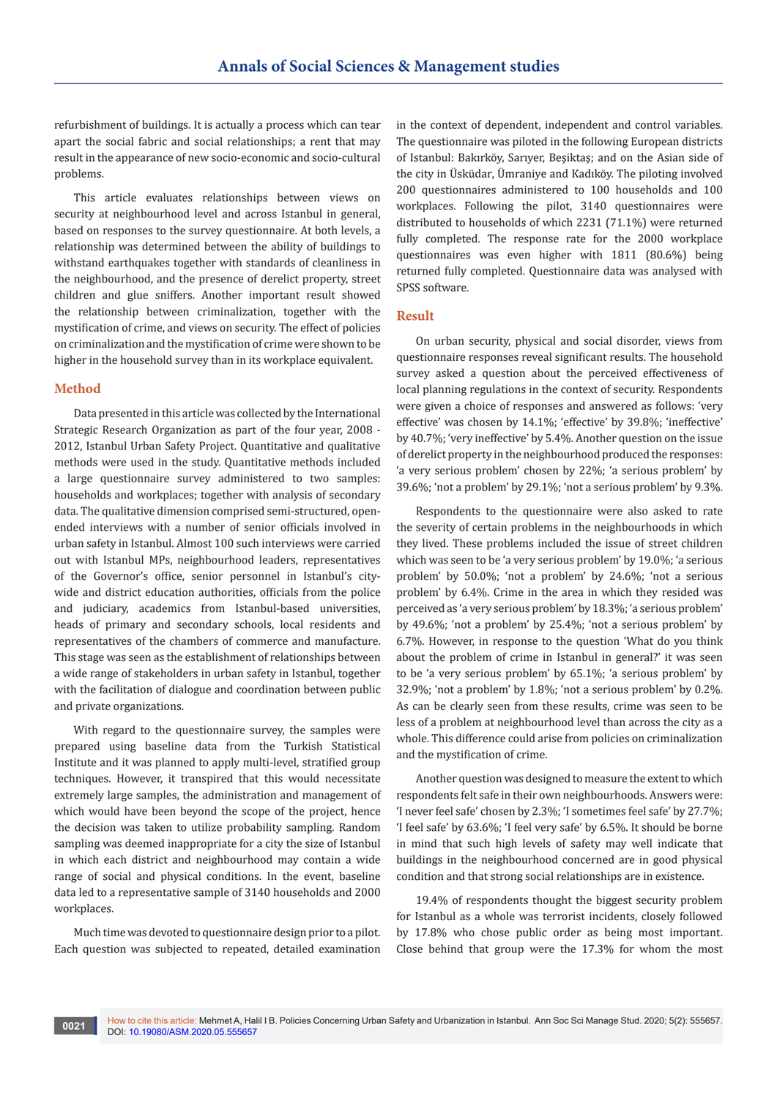refurbishment of buildings. It is actually a process which can tear apart the social fabric and social relationships; a rent that may result in the appearance of new socio-economic and socio-cultural problems.

This article evaluates relationships between views on security at neighbourhood level and across Istanbul in general, based on responses to the survey questionnaire. At both levels, a relationship was determined between the ability of buildings to withstand earthquakes together with standards of cleanliness in the neighbourhood, and the presence of derelict property, street children and glue sniffers. Another important result showed the relationship between criminalization, together with the mystification of crime, and views on security. The effect of policies on criminalization and the mystification of crime were shown to be higher in the household survey than in its workplace equivalent.

#### **Method**

Data presented in this article was collected by the International Strategic Research Organization as part of the four year, 2008 - 2012, Istanbul Urban Safety Project. Quantitative and qualitative methods were used in the study. Quantitative methods included a large questionnaire survey administered to two samples: households and workplaces; together with analysis of secondary data. The qualitative dimension comprised semi-structured, openended interviews with a number of senior officials involved in urban safety in Istanbul. Almost 100 such interviews were carried out with Istanbul MPs, neighbourhood leaders, representatives of the Governor's office, senior personnel in Istanbul's citywide and district education authorities, officials from the police and judiciary, academics from Istanbul-based universities, heads of primary and secondary schools, local residents and representatives of the chambers of commerce and manufacture. This stage was seen as the establishment of relationships between a wide range of stakeholders in urban safety in Istanbul, together with the facilitation of dialogue and coordination between public and private organizations.

With regard to the questionnaire survey, the samples were prepared using baseline data from the Turkish Statistical Institute and it was planned to apply multi-level, stratified group techniques. However, it transpired that this would necessitate extremely large samples, the administration and management of which would have been beyond the scope of the project, hence the decision was taken to utilize probability sampling. Random sampling was deemed inappropriate for a city the size of Istanbul in which each district and neighbourhood may contain a wide range of social and physical conditions. In the event, baseline data led to a representative sample of 3140 households and 2000 workplaces.

Much time was devoted to questionnaire design prior to a pilot. Each question was subjected to repeated, detailed examination in the context of dependent, independent and control variables. The questionnaire was piloted in the following European districts of Istanbul: Bakırköy, Sarıyer, Beşiktaş; and on the Asian side of the city in Üsküdar, Ümraniye and Kadıköy. The piloting involved 200 questionnaires administered to 100 households and 100 workplaces. Following the pilot, 3140 questionnaires were distributed to households of which 2231 (71.1%) were returned fully completed. The response rate for the 2000 workplace questionnaires was even higher with 1811 (80.6%) being returned fully completed. Questionnaire data was analysed with SPSS software.

#### **Result**

On urban security, physical and social disorder, views from questionnaire responses reveal significant results. The household survey asked a question about the perceived effectiveness of local planning regulations in the context of security. Respondents were given a choice of responses and answered as follows: 'very effective' was chosen by 14.1%; 'effective' by 39.8%; 'ineffective' by 40.7%; 'very ineffective' by 5.4%. Another question on the issue of derelict property in the neighbourhood produced the responses: 'a very serious problem' chosen by 22%; 'a serious problem' by 39.6%; 'not a problem' by 29.1%; 'not a serious problem' by 9.3%.

Respondents to the questionnaire were also asked to rate the severity of certain problems in the neighbourhoods in which they lived. These problems included the issue of street children which was seen to be 'a very serious problem' by 19.0%; 'a serious problem' by 50.0%; 'not a problem' by 24.6%; 'not a serious problem' by 6.4%. Crime in the area in which they resided was perceived as 'a very serious problem' by 18.3%; 'a serious problem' by 49.6%; 'not a problem' by 25.4%; 'not a serious problem' by 6.7%. However, in response to the question 'What do you think about the problem of crime in Istanbul in general?' it was seen to be 'a very serious problem' by 65.1%; 'a serious problem' by 32.9%; 'not a problem' by 1.8%; 'not a serious problem' by 0.2%. As can be clearly seen from these results, crime was seen to be less of a problem at neighbourhood level than across the city as a whole. This difference could arise from policies on criminalization and the mystification of crime.

Another question was designed to measure the extent to which respondents felt safe in their own neighbourhoods. Answers were: 'I never feel safe' chosen by 2.3%; 'I sometimes feel safe' by 27.7%; 'I feel safe' by 63.6%; 'I feel very safe' by 6.5%. It should be borne in mind that such high levels of safety may well indicate that buildings in the neighbourhood concerned are in good physical condition and that strong social relationships are in existence.

19.4% of respondents thought the biggest security problem for Istanbul as a whole was terrorist incidents, closely followed by 17.8% who chose public order as being most important. Close behind that group were the 17.3% for whom the most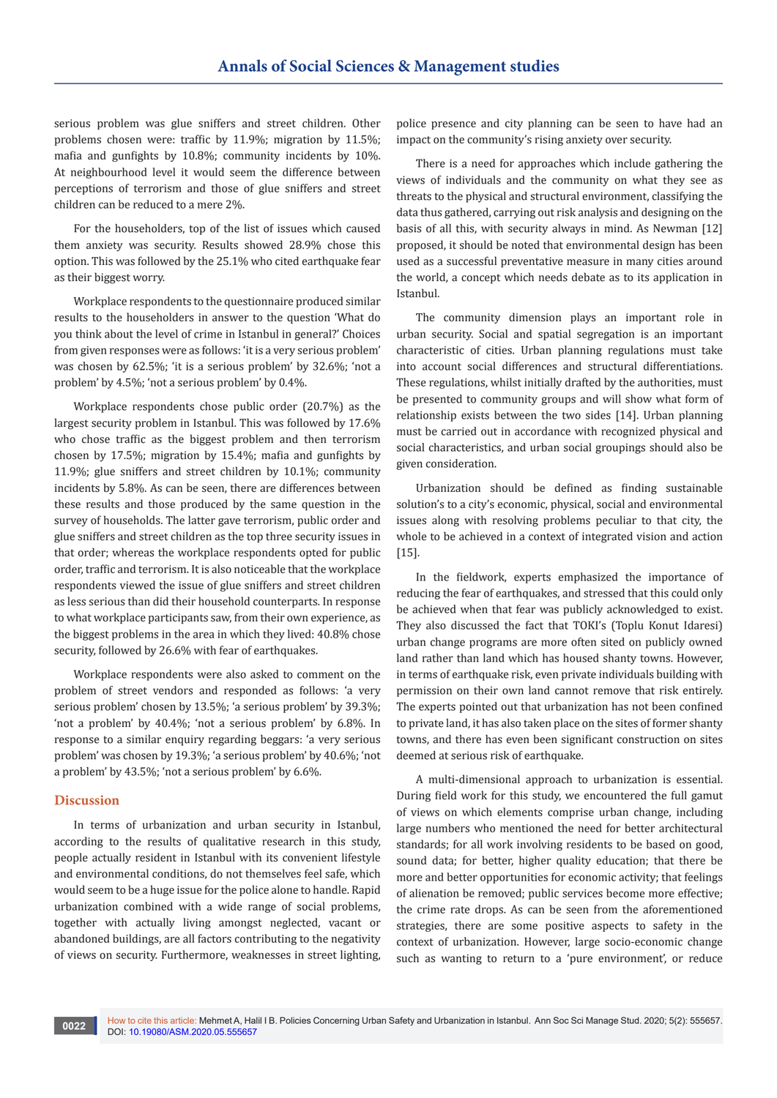serious problem was glue sniffers and street children. Other problems chosen were: traffic by 11.9%; migration by 11.5%; mafia and gunfights by 10.8%; community incidents by 10%. At neighbourhood level it would seem the difference between perceptions of terrorism and those of glue sniffers and street children can be reduced to a mere 2%.

For the householders, top of the list of issues which caused them anxiety was security. Results showed 28.9% chose this option. This was followed by the 25.1% who cited earthquake fear as their biggest worry.

Workplace respondents to the questionnaire produced similar results to the householders in answer to the question 'What do you think about the level of crime in Istanbul in general?' Choices from given responses were as follows: 'it is a very serious problem' was chosen by 62.5%; 'it is a serious problem' by 32.6%; 'not a problem' by 4.5%; 'not a serious problem' by 0.4%.

Workplace respondents chose public order (20.7%) as the largest security problem in Istanbul. This was followed by 17.6% who chose traffic as the biggest problem and then terrorism chosen by 17.5%; migration by 15.4%; mafia and gunfights by 11.9%; glue sniffers and street children by 10.1%; community incidents by 5.8%. As can be seen, there are differences between these results and those produced by the same question in the survey of households. The latter gave terrorism, public order and glue sniffers and street children as the top three security issues in that order; whereas the workplace respondents opted for public order, traffic and terrorism. It is also noticeable that the workplace respondents viewed the issue of glue sniffers and street children as less serious than did their household counterparts. In response to what workplace participants saw, from their own experience, as the biggest problems in the area in which they lived: 40.8% chose security, followed by 26.6% with fear of earthquakes.

Workplace respondents were also asked to comment on the problem of street vendors and responded as follows: 'a very serious problem' chosen by 13.5%; 'a serious problem' by 39.3%; 'not a problem' by 40.4%; 'not a serious problem' by 6.8%. In response to a similar enquiry regarding beggars: 'a very serious problem' was chosen by 19.3%; 'a serious problem' by 40.6%; 'not a problem' by 43.5%; 'not a serious problem' by 6.6%.

## **Discussion**

In terms of urbanization and urban security in Istanbul, according to the results of qualitative research in this study, people actually resident in Istanbul with its convenient lifestyle and environmental conditions, do not themselves feel safe, which would seem to be a huge issue for the police alone to handle. Rapid urbanization combined with a wide range of social problems, together with actually living amongst neglected, vacant or abandoned buildings, are all factors contributing to the negativity of views on security. Furthermore, weaknesses in street lighting,

police presence and city planning can be seen to have had an impact on the community's rising anxiety over security.

There is a need for approaches which include gathering the views of individuals and the community on what they see as threats to the physical and structural environment, classifying the data thus gathered, carrying out risk analysis and designing on the basis of all this, with security always in mind. As Newman [12] proposed, it should be noted that environmental design has been used as a successful preventative measure in many cities around the world, a concept which needs debate as to its application in Istanbul.

The community dimension plays an important role in urban security. Social and spatial segregation is an important characteristic of cities. Urban planning regulations must take into account social differences and structural differentiations. These regulations, whilst initially drafted by the authorities, must be presented to community groups and will show what form of relationship exists between the two sides [14]. Urban planning must be carried out in accordance with recognized physical and social characteristics, and urban social groupings should also be given consideration.

Urbanization should be defined as finding sustainable solution's to a city's economic, physical, social and environmental issues along with resolving problems peculiar to that city, the whole to be achieved in a context of integrated vision and action [15].

In the fieldwork, experts emphasized the importance of reducing the fear of earthquakes, and stressed that this could only be achieved when that fear was publicly acknowledged to exist. They also discussed the fact that TOKI's (Toplu Konut Idaresi) urban change programs are more often sited on publicly owned land rather than land which has housed shanty towns. However, in terms of earthquake risk, even private individuals building with permission on their own land cannot remove that risk entirely. The experts pointed out that urbanization has not been confined to private land, it has also taken place on the sites of former shanty towns, and there has even been significant construction on sites deemed at serious risk of earthquake.

A multi-dimensional approach to urbanization is essential. During field work for this study, we encountered the full gamut of views on which elements comprise urban change, including large numbers who mentioned the need for better architectural standards; for all work involving residents to be based on good, sound data; for better, higher quality education; that there be more and better opportunities for economic activity; that feelings of alienation be removed; public services become more effective; the crime rate drops. As can be seen from the aforementioned strategies, there are some positive aspects to safety in the context of urbanization. However, large socio-economic change such as wanting to return to a 'pure environment', or reduce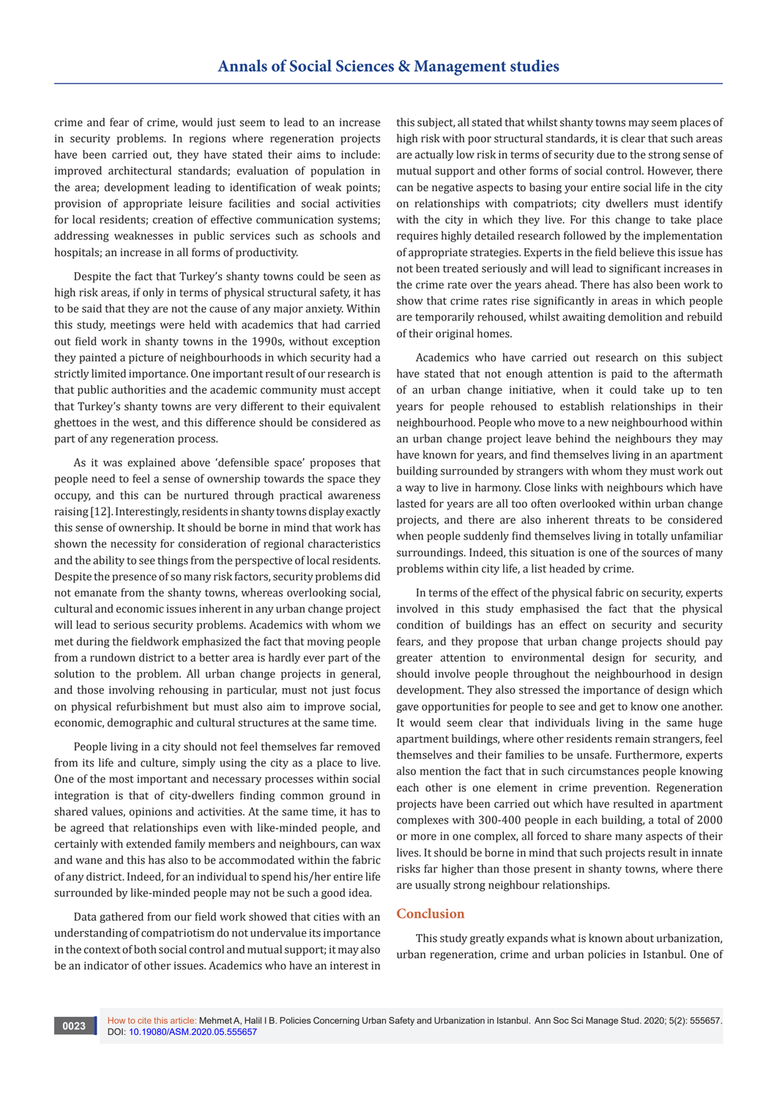crime and fear of crime, would just seem to lead to an increase in security problems. In regions where regeneration projects have been carried out, they have stated their aims to include: improved architectural standards; evaluation of population in the area; development leading to identification of weak points; provision of appropriate leisure facilities and social activities for local residents; creation of effective communication systems; addressing weaknesses in public services such as schools and hospitals; an increase in all forms of productivity.

Despite the fact that Turkey's shanty towns could be seen as high risk areas, if only in terms of physical structural safety, it has to be said that they are not the cause of any major anxiety. Within this study, meetings were held with academics that had carried out field work in shanty towns in the 1990s, without exception they painted a picture of neighbourhoods in which security had a strictly limited importance. One important result of our research is that public authorities and the academic community must accept that Turkey's shanty towns are very different to their equivalent ghettoes in the west, and this difference should be considered as part of any regeneration process.

As it was explained above 'defensible space' proposes that people need to feel a sense of ownership towards the space they occupy, and this can be nurtured through practical awareness raising [12]. Interestingly, residents in shanty towns display exactly this sense of ownership. It should be borne in mind that work has shown the necessity for consideration of regional characteristics and the ability to see things from the perspective of local residents. Despite the presence of so many risk factors, security problems did not emanate from the shanty towns, whereas overlooking social, cultural and economic issues inherent in any urban change project will lead to serious security problems. Academics with whom we met during the fieldwork emphasized the fact that moving people from a rundown district to a better area is hardly ever part of the solution to the problem. All urban change projects in general, and those involving rehousing in particular, must not just focus on physical refurbishment but must also aim to improve social, economic, demographic and cultural structures at the same time.

People living in a city should not feel themselves far removed from its life and culture, simply using the city as a place to live. One of the most important and necessary processes within social integration is that of city-dwellers finding common ground in shared values, opinions and activities. At the same time, it has to be agreed that relationships even with like-minded people, and certainly with extended family members and neighbours, can wax and wane and this has also to be accommodated within the fabric of any district. Indeed, for an individual to spend his/her entire life surrounded by like-minded people may not be such a good idea.

Data gathered from our field work showed that cities with an understanding of compatriotism do not undervalue its importance in the context of both social control and mutual support; it may also be an indicator of other issues. Academics who have an interest in this subject, all stated that whilst shanty towns may seem places of high risk with poor structural standards, it is clear that such areas are actually low risk in terms of security due to the strong sense of mutual support and other forms of social control. However, there can be negative aspects to basing your entire social life in the city on relationships with compatriots; city dwellers must identify with the city in which they live. For this change to take place requires highly detailed research followed by the implementation of appropriate strategies. Experts in the field believe this issue has not been treated seriously and will lead to significant increases in the crime rate over the years ahead. There has also been work to show that crime rates rise significantly in areas in which people are temporarily rehoused, whilst awaiting demolition and rebuild of their original homes.

Academics who have carried out research on this subject have stated that not enough attention is paid to the aftermath of an urban change initiative, when it could take up to ten years for people rehoused to establish relationships in their neighbourhood. People who move to a new neighbourhood within an urban change project leave behind the neighbours they may have known for years, and find themselves living in an apartment building surrounded by strangers with whom they must work out a way to live in harmony. Close links with neighbours which have lasted for years are all too often overlooked within urban change projects, and there are also inherent threats to be considered when people suddenly find themselves living in totally unfamiliar surroundings. Indeed, this situation is one of the sources of many problems within city life, a list headed by crime.

In terms of the effect of the physical fabric on security, experts involved in this study emphasised the fact that the physical condition of buildings has an effect on security and security fears, and they propose that urban change projects should pay greater attention to environmental design for security, and should involve people throughout the neighbourhood in design development. They also stressed the importance of design which gave opportunities for people to see and get to know one another. It would seem clear that individuals living in the same huge apartment buildings, where other residents remain strangers, feel themselves and their families to be unsafe. Furthermore, experts also mention the fact that in such circumstances people knowing each other is one element in crime prevention. Regeneration projects have been carried out which have resulted in apartment complexes with 300-400 people in each building, a total of 2000 or more in one complex, all forced to share many aspects of their lives. It should be borne in mind that such projects result in innate risks far higher than those present in shanty towns, where there are usually strong neighbour relationships.

# **Conclusion**

This study greatly expands what is known about urbanization, urban regeneration, crime and urban policies in Istanbul. One of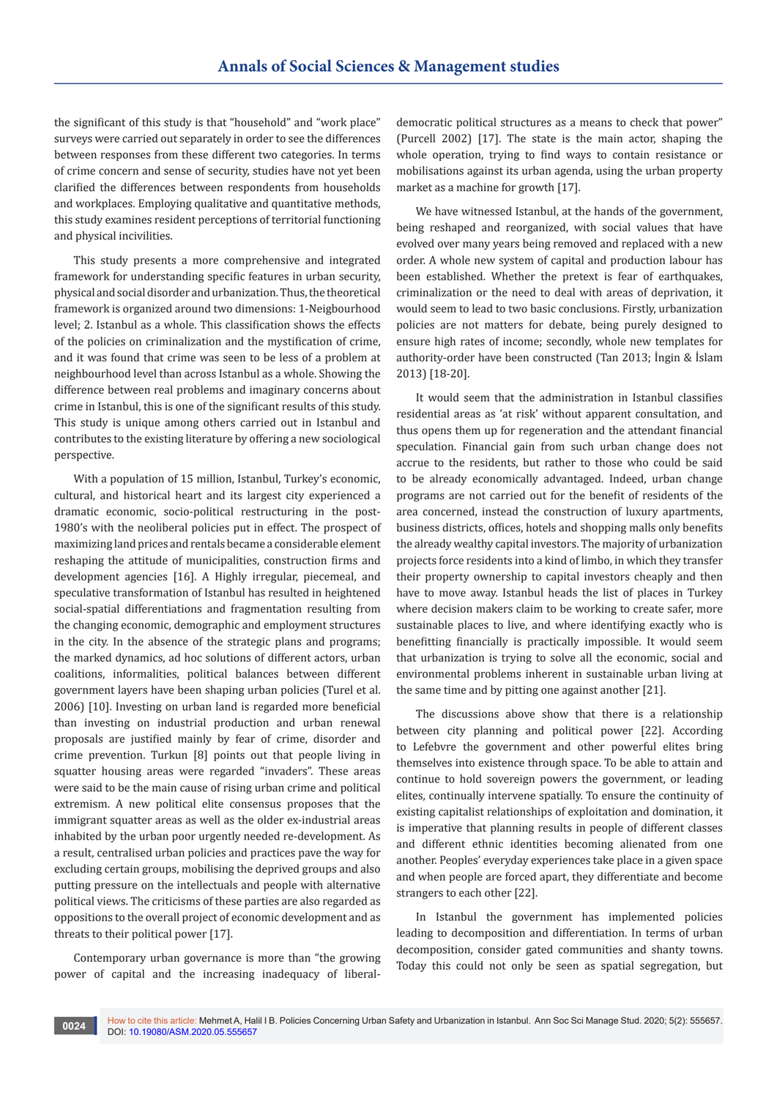the significant of this study is that "household" and "work place" surveys were carried out separately in order to see the differences between responses from these different two categories. In terms of crime concern and sense of security, studies have not yet been clarified the differences between respondents from households and workplaces. Employing qualitative and quantitative methods, this study examines resident perceptions of territorial functioning and physical incivilities.

This study presents a more comprehensive and integrated framework for understanding specific features in urban security, physical and social disorder and urbanization. Thus, the theoretical framework is organized around two dimensions: 1-Neigbourhood level; 2. Istanbul as a whole. This classification shows the effects of the policies on criminalization and the mystification of crime, and it was found that crime was seen to be less of a problem at neighbourhood level than across Istanbul as a whole. Showing the difference between real problems and imaginary concerns about crime in Istanbul, this is one of the significant results of this study. This study is unique among others carried out in Istanbul and contributes to the existing literature by offering a new sociological perspective.

With a population of 15 million, Istanbul, Turkey's economic, cultural, and historical heart and its largest city experienced a dramatic economic, socio-political restructuring in the post-1980's with the neoliberal policies put in effect. The prospect of maximizing land prices and rentals became a considerable element reshaping the attitude of municipalities, construction firms and development agencies [16]. A Highly irregular, piecemeal, and speculative transformation of Istanbul has resulted in heightened social-spatial differentiations and fragmentation resulting from the changing economic, demographic and employment structures in the city. In the absence of the strategic plans and programs; the marked dynamics, ad hoc solutions of different actors, urban coalitions, informalities, political balances between different government layers have been shaping urban policies (Turel et al. 2006) [10]. Investing on urban land is regarded more beneficial than investing on industrial production and urban renewal proposals are justified mainly by fear of crime, disorder and crime prevention. Turkun [8] points out that people living in squatter housing areas were regarded "invaders". These areas were said to be the main cause of rising urban crime and political extremism. A new political elite consensus proposes that the immigrant squatter areas as well as the older ex-industrial areas inhabited by the urban poor urgently needed re-development. As a result, centralised urban policies and practices pave the way for excluding certain groups, mobilising the deprived groups and also putting pressure on the intellectuals and people with alternative political views. The criticisms of these parties are also regarded as oppositions to the overall project of economic development and as threats to their political power [17].

Contemporary urban governance is more than "the growing power of capital and the increasing inadequacy of liberaldemocratic political structures as a means to check that power" (Purcell 2002) [17]. The state is the main actor, shaping the whole operation, trying to find ways to contain resistance or mobilisations against its urban agenda, using the urban property market as a machine for growth [17].

We have witnessed Istanbul, at the hands of the government, being reshaped and reorganized, with social values that have evolved over many years being removed and replaced with a new order. A whole new system of capital and production labour has been established. Whether the pretext is fear of earthquakes, criminalization or the need to deal with areas of deprivation, it would seem to lead to two basic conclusions. Firstly, urbanization policies are not matters for debate, being purely designed to ensure high rates of income; secondly, whole new templates for authority-order have been constructed (Tan 2013; İngin & İslam 2013) [18-20].

It would seem that the administration in Istanbul classifies residential areas as 'at risk' without apparent consultation, and thus opens them up for regeneration and the attendant financial speculation. Financial gain from such urban change does not accrue to the residents, but rather to those who could be said to be already economically advantaged. Indeed, urban change programs are not carried out for the benefit of residents of the area concerned, instead the construction of luxury apartments, business districts, offices, hotels and shopping malls only benefits the already wealthy capital investors. The majority of urbanization projects force residents into a kind of limbo, in which they transfer their property ownership to capital investors cheaply and then have to move away. Istanbul heads the list of places in Turkey where decision makers claim to be working to create safer, more sustainable places to live, and where identifying exactly who is benefitting financially is practically impossible. It would seem that urbanization is trying to solve all the economic, social and environmental problems inherent in sustainable urban living at the same time and by pitting one against another [21].

The discussions above show that there is a relationship between city planning and political power [22]. According to Lefebvre the government and other powerful elites bring themselves into existence through space. To be able to attain and continue to hold sovereign powers the government, or leading elites, continually intervene spatially. To ensure the continuity of existing capitalist relationships of exploitation and domination, it is imperative that planning results in people of different classes and different ethnic identities becoming alienated from one another. Peoples' everyday experiences take place in a given space and when people are forced apart, they differentiate and become strangers to each other [22].

In Istanbul the government has implemented policies leading to decomposition and differentiation. In terms of urban decomposition, consider gated communities and shanty towns. Today this could not only be seen as spatial segregation, but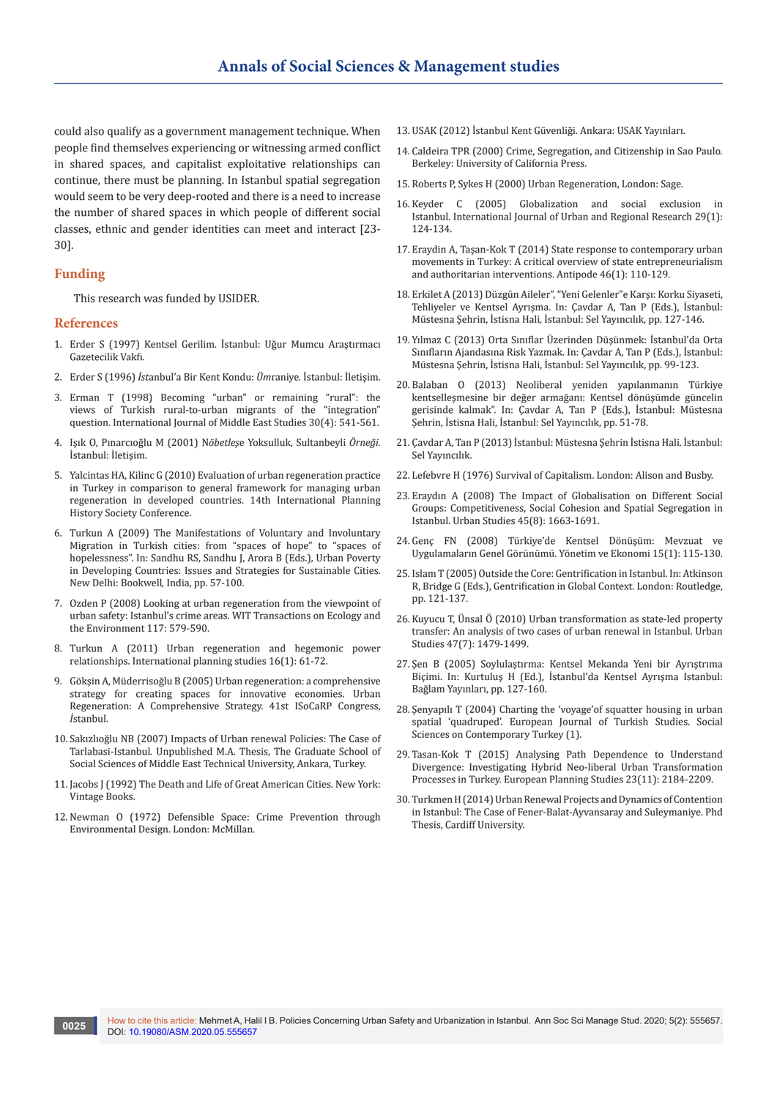could also qualify as a government management technique. When people find themselves experiencing or witnessing armed conflict in shared spaces, and capitalist exploitative relationships can continue, there must be planning. In Istanbul spatial segregation would seem to be very deep-rooted and there is a need to increase the number of shared spaces in which people of different social classes, ethnic and gender identities can meet and interact [23- 30].

#### **Funding**

This research was funded by USIDER.

#### **References**

- 1. Erder S (1997) Kentsel Gerilim. İstanbul: Uğur Mumcu Araştırmacı Gazetecilik Vakfı.
- 2. Erder S (1996) *İst*anbul'a Bir Kent Kondu: *Üm*raniye*.* İstanbul: İletişim.
- 3. [Erman T \(1998\) Becoming "urban" or remaining "rural": the](https://www.jstor.org/stable/164340)  [views of Turkish rural-to-urban migrants of the "integration"](https://www.jstor.org/stable/164340)  question. [International Journal of Middle East Studies](https://www.jstor.org/stable/164340) 30(4): 541-561.
- 4. Işık O, Pınarcıoğlu M (2001) N*öbetleş*e Yoksulluk, Sultanbeyli *Örneği.* İstanbul: İletişim.
- 5. [Yalcintas HA, Kilinc G \(2010\) Evaluation of urban regeneration practice](http://www.iphs2010.com/abs/ID68.pdf)  [in Turkey in comparison to general framework for managing urban](http://www.iphs2010.com/abs/ID68.pdf)  [regeneration in developed countries. 14th International Planning](http://www.iphs2010.com/abs/ID68.pdf)  [History Society Conference.](http://www.iphs2010.com/abs/ID68.pdf)
- 6. Turkun A (2009) The Manifestations of Voluntary and Involuntary Migration in Turkish cities: from "spaces of hope" to "spaces of hopelessness". In: Sandhu RS, Sandhu J, Arora B (Eds.), Urban Poverty in Developing Countries: Issues and Strategies for Sustainable Cities. New Delhi: Bookwell*,* India, pp. 57-100.
- 7. [Ozden P \(2008\) Looking at urban regeneration from the viewpoint of](https://www.witpress.com/elibrary/wit-transactions-on-ecology-and-the-environment/117/19745)  [urban safety: Istanbul's crime areas. WIT Transactions on Ecology and](https://www.witpress.com/elibrary/wit-transactions-on-ecology-and-the-environment/117/19745)  [the Environment 117: 579-590.](https://www.witpress.com/elibrary/wit-transactions-on-ecology-and-the-environment/117/19745)
- 8. [Turkun A \(2011\) Urban regeneration and hegemonic power](https://www.tandfonline.com/doi/abs/10.1080/13563475.2011.552473)  relationships. [International planning studies](https://www.tandfonline.com/doi/abs/10.1080/13563475.2011.552473) 16(1): 61-72.
- 9. Gökşin A, M[üderrisoğlu B \(2005\) Urban regeneration: a comprehensive](http://www.isocarp.net/Data/case_studies/619.pdf)  [strategy for creating spaces for innovative economies. Urban](http://www.isocarp.net/Data/case_studies/619.pdf)  [Regeneration: A Comprehensive Strategy. 41st ISoCaRP Congress,](http://www.isocarp.net/Data/case_studies/619.pdf)  *İ*[stanbul.](http://www.isocarp.net/Data/case_studies/619.pdf)
- 10. S[akızlıoğlu NB \(2007\) Impacts of Urban renewal Policies: The Case of](https://etd.lib.metu.edu.tr/upload/12608464/index.pdf)  Tarlabasi-Istanbul*.* [Unpublished M.A. Thesis, The Graduate School of](https://etd.lib.metu.edu.tr/upload/12608464/index.pdf)  [Social Sciences of Middle East Technical University, Ankara, Turkey.](https://etd.lib.metu.edu.tr/upload/12608464/index.pdf)
- 11. Jacobs J (1992) The Death and Life of Great American Cities. New York: Vintage Books.
- 12. Newman O (1972) Defensible Space: Crime Prevention through Environmental Design. London: McMillan.
- 13. USAK (2012) İstanbul Kent Güvenliği. Ankara: USAK Yayınları.
- 14. Caldeira TPR (2000) Crime, Segregation, and Citizenship in Sao Paulo*.* Berkeley: University of California Press.
- 15. Roberts P, Sykes H (2000) Urban Regeneration, London: Sage.
- 16. [Keyder C \(2005\) Globalization and social exclusion in](https://onlinelibrary.wiley.com/doi/abs/10.1111/j.1468-2427.2005.00574.x)  Istanbul. [International Journal of Urban and Regional Research](https://onlinelibrary.wiley.com/doi/abs/10.1111/j.1468-2427.2005.00574.x) 29(1): [124-134.](https://onlinelibrary.wiley.com/doi/abs/10.1111/j.1468-2427.2005.00574.x)
- 17. [Eraydin A, Taşan‐Kok T \(2014\) State response to contemporary urban](http://citeseerx.ist.psu.edu/viewdoc/download?doi=10.1.1.913.6307&rep=rep1&type=pdf)  [movements in Turkey: A critical overview of state entrepreneurialism](http://citeseerx.ist.psu.edu/viewdoc/download?doi=10.1.1.913.6307&rep=rep1&type=pdf)  [and authoritarian interventions.](http://citeseerx.ist.psu.edu/viewdoc/download?doi=10.1.1.913.6307&rep=rep1&type=pdf) Antipode 46(1): 110-129.
- 18. Erkilet A (2013) Düzgün Aileler", "Yeni Gelenler"e Karşı: Korku Siyaseti, Tehliyeler ve Kentsel Ayrışma. In: Çavdar A, Tan P (Eds.), İstanbul: Müstesna Şehrin, İstisna Hali*,* İstanbul: Sel Yayıncılık, pp. 127-146.
- 19. Yılmaz C (2013) Orta Sınıflar Üzerinden Düşünmek: İstanbul'da Orta Sınıfların Ajandasına Risk Yazmak. In: Çavdar A, Tan P (Eds.), İstanbul: Müstesna Şehrin, İstisna Hali, İstanbul: Sel Yayıncılık, pp. 99-123.
- 20. Balaban O (2013) Neoliberal yeniden yapılanmanın Türkiye kentselleşmesine bir değer armağanı: Kentsel dönüşümde güncelin gerisinde kalmak". In: Çavdar A, Tan P (Eds.), İstanbul: Müstesna Şehrin, İstisna Hali, İstanbul: Sel Yayıncılık, pp. 51-78.
- 21. Çavdar A, Tan P (2013) İstanbul: Müstesna Şehrin İstisna Hali. İstanbul: Sel Yayıncılık.
- 22. Lefebvre H (1976) Survival of Capitalism. London: Alison and Busby.
- 23. [Eraydın A \(2008\) The Impact of Globalisation on Different Social](https://journals.sagepub.com/doi/10.1177/0042098008091496)  [Groups: Competitiveness, Social Cohesion and Spatial Segregation in](https://journals.sagepub.com/doi/10.1177/0042098008091496)  [Istanbul. Urban Studies 45\(8\): 1663-1691.](https://journals.sagepub.com/doi/10.1177/0042098008091496)
- 24. Genç FN (2008) Tür[kiye'de Kentsel Dönüşüm: Mevzuat ve](https://dergipark.org.tr/en/download/article-file/145982)  [Uygulamaların Genel Görünümü. Yö](https://dergipark.org.tr/en/download/article-file/145982)netim ve Ekonomi 15(1): 115-130.
- 25. Islam T (2005) Outside the Core: Gentrification in Istanbul. In: Atkinson R, Bridge G (Eds.), Gentrification in Global Context. London: Routledge, pp. 121-137.
- 26. [Kuyucu T, Ünsal Ö \(2010\) Urban transformation as state-led property](http://citeseerx.ist.psu.edu/viewdoc/download?doi=10.1.1.843.9511&rep=rep1&type=pdf)  [transfer: An analysis of two cases of urban renewal in Istanbul.](http://citeseerx.ist.psu.edu/viewdoc/download?doi=10.1.1.843.9511&rep=rep1&type=pdf) Urban Studies [47\(7\): 1479-1499.](http://citeseerx.ist.psu.edu/viewdoc/download?doi=10.1.1.843.9511&rep=rep1&type=pdf)
- 27. Şen B (2005) Soylulaştırma: Kentsel Mekanda Yeni bir Ayrıştrıma Biçimi. In: Kurtuluş H (Ed.), İstanbul'da Kentsel Ayrışma Istanbul: Bağlam Yayınları, pp. 127-160.
- 28. Şenyapılı T (2004) Charting the 'voyage'of squatter housing in urban spatial 'quadruped'. European Journal of Turkish Studies. Social Sciences on Contemporary Turkey (1).
- 29. [Tasan-Kok T \(2015\) Analysing Path Dependence to Understand](https://www.tandfonline.com/doi/abs/10.1080/09654313.2015.1018458)  [Divergence: Investigating Hybrid Neo-liberal Urban Transformation](https://www.tandfonline.com/doi/abs/10.1080/09654313.2015.1018458)  [Processes in Turkey. European Planning Studies 23\(11\): 2184-2209.](https://www.tandfonline.com/doi/abs/10.1080/09654313.2015.1018458)
- 30. [Turkmen H \(2014\) Urban Renewal Projects and Dynamics of Contention](https://pdfs.semanticscholar.org/e6a0/6eb5d08ee5add2ead67dc944ac5381cbce1e.pdf)  [in Istanbul: The Case of Fener-Balat-Ayvansaray and Suleymaniye. Phd](https://pdfs.semanticscholar.org/e6a0/6eb5d08ee5add2ead67dc944ac5381cbce1e.pdf)  [Thesis, Cardiff University.](https://pdfs.semanticscholar.org/e6a0/6eb5d08ee5add2ead67dc944ac5381cbce1e.pdf)